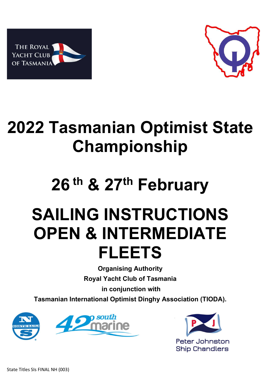



# 2022 Tasmanian Optimist State Championship

# 26<sup>th</sup> & 27<sup>th</sup> February

# SAILING INSTRUCTIONS OPEN & INTERMEDIATE FLEETS

Organising Authority Royal Yacht Club of Tasmania

in conjunction with

Tasmanian International Optimist Dinghy Association (TIODA).



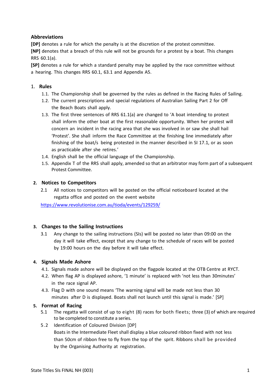# Abbreviations

[DP] denotes a rule for which the penalty is at the discretion of the protest committee. [NP] denotes that a breach of this rule will not be grounds for a protest by a boat. This changes RRS 60.1(a).

[SP] denotes a rule for which a standard penalty may be applied by the race committee without a hearing. This changes RRS 60.1, 63.1 and Appendix A5.

# 1. Rules

- 1.1. The Championship shall be governed by the rules as defined in the Racing Rules of Sailing.
- 1.2. The current prescriptions and special regulations of Australian Sailing Part 2 for Off the Beach Boats shall apply.
- 1.3. The first three sentences of RRS 61.1(a) are changed to 'A boat intending to protest shall inform the other boat at the first reasonable opportunity. When her protest will concern an incident in the racing area that she was involved in or saw she shall hail 'Protest'. She shall inform the Race Committee at the finishing line immediately after finishing of the boat/s being protested in the manner described in SI 17.1, or as soon as practicable after she retires.'
- 1.4. English shall be the official language of the Championship.
- 1.5. Appendix T of the RRS shall apply, amended so that an arbitrator may form part of a subsequent Protest Committee.

# 2. Notices to Competitors

2.1 All notices to competitors will be posted on the official noticeboard located at the regatta office and posted on the event website

https://www.revolutionise.com.au/tioda/events/129259/

# 3. Changes to the Sailing Instructions

3.1 Any change to the sailing instructions (SIs) will be posted no later than 09:00 on the day it will take effect, except that any change to the schedule of races will be posted by 19:00 hours on the day before it will take effect.

# 4. Signals Made Ashore

- 4.1. Signals made ashore will be displayed on the flagpole located at the OTB Centre at RYCT.
- 4.2. When flag AP is displayed ashore, '1 minute' is replaced with 'not less than 30minutes' in the race signal AP.
- 4.3. Flag D with one sound means 'The warning signal will be made not less than 30 minutes after D is displayed. Boats shall not launch until this signal is made.' [SP]

# 5. Format of Racing

- 5.1 The regatta will consist of up to eight (8) races for both fleets; three (3) of which are required to be completed to constitute a series.
- 5.2 Identification of Coloured Division [DP] Boats in the Intermediate Fleet shall display a blue coloured ribbon fixed with not less than 50cm of ribbon free to fly from the top of the sprit. Ribbons shall be provided by the Organising Authority at registration.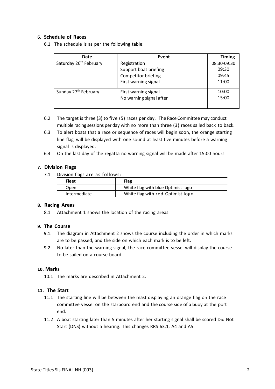#### 6. Schedule of Races

6.1 The schedule is as per the following table:

| Date                               | Event                   | <b>Timing</b> |
|------------------------------------|-------------------------|---------------|
| Saturday 26 <sup>th</sup> February | Registration            | 08:30-09:30   |
|                                    | Support boat briefing   | 09:30         |
|                                    | Competitor briefing     | 09:45         |
|                                    | First warning signal    | 11:00         |
| Sunday 27 <sup>th</sup> February   | First warning signal    | 10:00         |
|                                    | No warning signal after | 15:00         |

- 6.2 The target is three (3) to five (5) races per day. The Race Committee may conduct multiple racing sessions per day with no more than three (3) races sailed back to back.
- 6.3 To alert boats that a race or sequence of races will begin soon, the orange starting line flag will be displayed with one sound at least five minutes before a warning signal is displayed.
- 6.4 On the last day of the regatta no warning signal will be made after 15:00 hours.

#### 7. Division Flags

7.1 Division flags are as follows:

| <b>Fleet</b> | Flag                               |  |
|--------------|------------------------------------|--|
| Open         | White flag with blue Optimist logo |  |
| Intermediate | White flag with red Optimist logo  |  |

#### 8. Racing Areas

8.1 Attachment 1 shows the location of the racing areas.

#### 9. The Course

- 9.1. The diagram in Attachment 2 shows the course including the order in which marks are to be passed, and the side on which each mark is to be left.
- 9.2. No later than the warning signal, the race committee vessel will display the course to be sailed on a course board.

#### 10. Marks

10.1 The marks are described in Attachment 2.

#### 11. The Start

- 11.1 The starting line will be between the mast displaying an orange flag on the race committee vessel on the starboard end and the course side of a buoy at the port end.
- 11.2 A boat starting later than 5 minutes after her starting signal shall be scored Did Not Start (DNS) without a hearing. This changes RRS 63.1, A4 and A5.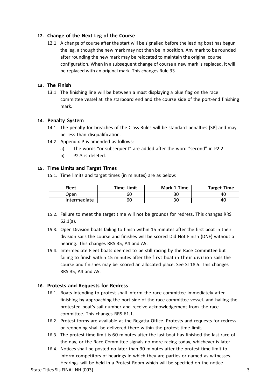# 12. Change of the Next Leg of the Course

12.1 A change of course after the start will be signalled before the leading boat has begun the leg, although the new mark may not then be in position. Any mark to be rounded after rounding the new mark may be relocated to maintain the original course configuration. When in a subsequent change of course a new mark is replaced, it will be replaced with an original mark. This changes Rule 33

#### 13. The Finish

13.1 The finishing line will be between a mast displaying a blue flag on the race committee vessel at the starboard end and the course side of the port-end finishing mark.

#### 14. Penalty System

- 14.1. The penalty for breaches of the Class Rules will be standard penalties [SP] and may be less than disqualification.
- 14.2. Appendix P is amended as follows:
	- a) The words "or subsequent" are added after the word "second" in P2.2.
	- b) P2.3 is deleted.

#### 15. Time Limits and Target Times

15.1. Time limits and target times (in minutes) are as below:

| <b>Fleet</b> | <b>Time Limit</b> | Mark 1 Time | <b>Target Time</b> |
|--------------|-------------------|-------------|--------------------|
| Open         | 60                | 30          | 40                 |
| Intermediate | 60                | ົາ<br>3U    | 40                 |

- 15.2. Failure to meet the target time will not be grounds for redress. This changes RRS 62.1(a).
- 15.3. Open Division boats failing to finish within 15 minutes after the first boat in their division sails the course and finishes will be scored Did Not Finish (DNF) without a hearing. This changes RRS 35, A4 and A5.
- 15.4. Intermediate Fleet boats deemed to be still racing by the Race Committee but failing to finish within 15 minutes after the first boat in their division sails the course and finishes may be scored an allocated place. See SI 18.5. This changes RRS 35, A4 and A5.

#### 16. Protests and Requests for Redress

- 16.1. Boats intending to protest shall inform the race committee immediately after finishing by approaching the port side of the race committee vessel. and hailing the protested boat's sail number and receive acknowledgement from the race committee. This changes RRS 61.1.
- 16.2. Protest forms are available at the Regatta Office. Protests and requests for redress or reopening shall be delivered there within the protest time limit.
- 16.3. The protest time limit is 60 minutes after the last boat has finished the last race of the day, or the Race Committee signals no more racing today, whichever is later.
- 16.4. Notices shall be posted no later than 30 minutes after the protest time limit to inform competitors of hearings in which they are parties or named as witnesses. Hearings will be held in a Protest Room which will be specified on the notice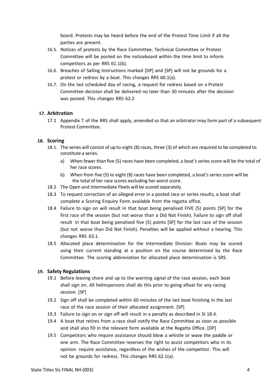board. Protests may be heard before the end of the Protest Time Limit if all the parties are present.

- 16.5. Notices of protests by the Race Committee, Technical Committee or Protest Committee will be posted on the noticeboard within the time limit to inform competitors as per RRS 61.1(b).
- 16.6. Breaches of Sailing Instructions marked [DP] and [SP] will not be grounds for a protest or redress by a boat. This changes RRS 60.1(a).
- 16.7. On the last scheduled day of racing, a request for redress based on a Protest Committee decision shall be delivered no later than 30 minutes after the decision was posted. This changes RRS 62.2

# 17. Arbitration

17.1 Appendix T of the RRS shall apply, amended so that an arbitrator may form part of a subsequent Protest Committee.

#### 18. Scoring

- 18.1. The series will consist of up to eight (8) races, three (3) of which are required to be completed to constitute a series.
	- a) When fewer than five (5) races have been completed, a boat's series score will be the total of her race scores.
	- b) When from five (5) to eight (8) races have been completed, a boat's series score will be the total of her race scores excluding her worst score.
- 18.2 The Open and Intermediate Fleets will be scored separately.
- 18.3 To request correction of an alleged error in a posted race or series results, a boat shall complete a Scoring Enquiry Form available from the regatta office.
- 18.4 Failure to sign on will result in that boat being penalised FIVE (5) points [SP] for the first race of the session (but not worse than a Did Not Finish). Failure to sign off shall result in that boat being penalised five (5) points [SP] for the last race of the session (but not worse than Did Not Finish). Penalties will be applied without a hearing. This changes RRS 63.1.
- 18.5 Allocated place determination for the Intermediate Division: Boats may be scored using their current standing at a position on the course determined by the Race Committee. The scoring abbreviation for allocated place determination is SRS.

#### 19. Safety Regulations

- 19.1 Before leaving shore and up to the warning signal of the race session, each boat shall sign on. All helmspersons shall do this prior to going afloat for any racing session. [SP]
- 19.2 Sign off shall be completed within 60 minutes of the last boat finishing in the last race of the race session of their allocated assignment. [SP]
- 19.3 Failure to sign on or sign off will result in a penalty as described in SI 18.4.
- 19.4 A boat that retires from a race shall notify the Race Committee as soon as possible and shall also fill in the relevant form available at the Regatta Office. [DP]
- 19.5 Competitors who require assistance should blow a whistle or wave the paddle or one arm. The Race Committee reserves the right to assist competitors who in its opinion require assistance, regardless of the wishes of the competitor. This will not be grounds for redress. This changes RRS 62.1(a).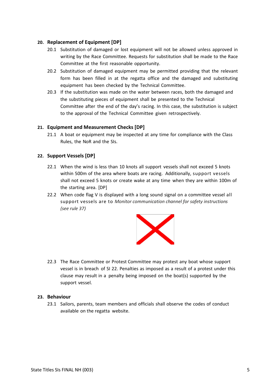# 20. Replacement of Equipment [DP]

- 20.1 Substitution of damaged or lost equipment will not be allowed unless approved in writing by the Race Committee. Requests for substitution shall be made to the Race Committee at the first reasonable opportunity.
- 20.2 Substitution of damaged equipment may be permitted providing that the relevant form has been filled in at the regatta office and the damaged and substituting equipment has been checked by the Technical Committee.
- 20.3 If the substitution was made on the water between races, both the damaged and the substituting pieces of equipment shall be presented to the Technical Committee after the end of the day's racing. In this case, the substitution is subject to the approval of the Technical Committee given retrospectively.

# 21. Equipment and Measurement Checks [DP]

21.1 A boat or equipment may be inspected at any time for compliance with the Class Rules, the NoR and the SIs.

# 22. Support Vessels [DP]

- 22.1 When the wind is less than 10 knots all support vessels shall not exceed 5 knots within 500m of the area where boats are racing. Additionally, support vessels shall not exceed 5 knots or create wake at any time when they are within 100m of the starting area. [DP]
- 22.2 When code flag V is displayed with a long sound signal on a committee vessel all support vessels are to Monitor communication channel for safety instructions (see rule 37)



22.3 The Race Committee or Protest Committee may protest any boat whose support vessel is in breach of SI 22. Penalties as imposed as a result of a protest under this clause may result in a penalty being imposed on the boat(s) supported by the support vessel.

#### 23. Behaviour

23.1 Sailors, parents, team members and officials shall observe the codes of conduct available on the regatta website.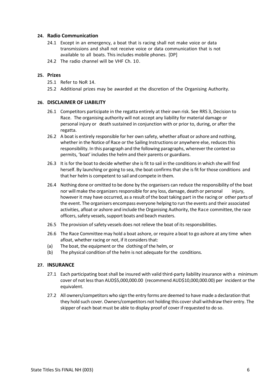#### 24. Radio Communication

- 24.1 Except in an emergency, a boat that is racing shall not make voice or data transmissions and shall not receive voice or data communication that is not available to all boats. This includes mobile phones. [DP]
- 24.2 The radio channel will be VHF Ch. 10.

#### 25. Prizes

- 25.1 Refer to NoR 14.
- 25.2 Additional prizes may be awarded at the discretion of the Organising Authority.

#### 26. DISCLAIMER OF LIABILITY

- 26.1 Competitors participate in the regatta entirely at their own risk. See RRS 3, Decision to Race. The organising authority will not accept any liability for material damage or personal injury or death sustained in conjunction with or prior to, during, or after the regatta.
- 26.2 A boat is entirely responsible for her own safety, whether afloat or ashore and nothing, whether in the Notice of Race or the Sailing Instructions or anywhere else, reduces this responsibility. In this paragraph and the following paragraphs, wherever the context so permits, 'boat' includes the helm and their parents or guardians.
- 26.3 It is for the boat to decide whether she is fit to sail in the conditions in which she will find herself. By launching or going to sea, the boat confirms that she is fit for those conditions and that her helm is competent to sail and compete in them.
- 26.4 Nothing done or omitted to be done by the organisers can reduce the responsibility of the boat nor will make the organizers responsible for any loss, damage, death or personal injury, however it may have occurred, as a result of the boat taking part in the racing or other parts of the event. The organisers encompass everyone helping to run the events and their associated activities, afloat or ashore and include the Organising Authority, the Race committee, the race officers, safety vessels, support boats and beach masters.
- 26.5 The provision of safety vessels does not relieve the boat of its responsibilities.
- 26.6 The Race Committee may hold a boat ashore, or require a boat to go ashore at any time when afloat, whether racing or not, if it considers that:
- (a) The boat, the equipment or the clothing of the helm, or
- (b) The physical condition of the helm is not adequate for the conditions.

#### 27. INSURANCE

- 27.1 Each participating boat shall be insured with valid third-party liability insurance with a minimum cover of not less than AUD\$5,000,000.00 (recommend AUD\$10,000,000.00) per incident or the equivalent.
- 27.2 All owners/competitors who sign the entry forms are deemed to have made a declaration that they hold such cover. Owners/competitors not holding this cover shall withdraw their entry. The skipper of each boat must be able to display proof of cover if requested to do so.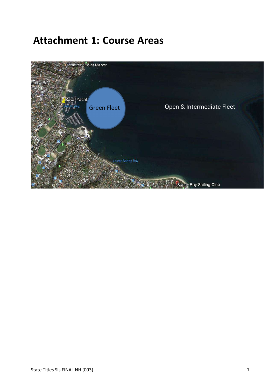# Attachment 1: Course Areas